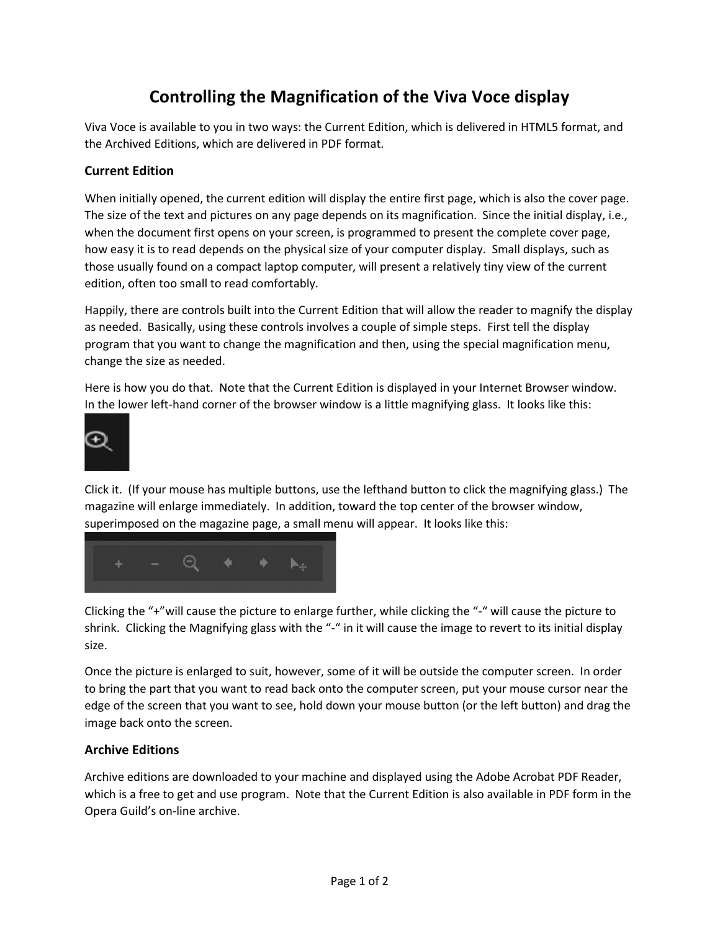## Controlling the Magnification of the Viva Voce display

Viva Voce is available to you in two ways: the Current Edition, which is delivered in HTML5 format, and the Archived Editions, which are delivered in PDF format.

## Current Edition

When initially opened, the current edition will display the entire first page, which is also the cover page. The size of the text and pictures on any page depends on its magnification. Since the initial display, i.e., when the document first opens on your screen, is programmed to present the complete cover page, how easy it is to read depends on the physical size of your computer display. Small displays, such as those usually found on a compact laptop computer, will present a relatively tiny view of the current edition, often too small to read comfortably.

Happily, there are controls built into the Current Edition that will allow the reader to magnify the display as needed. Basically, using these controls involves a couple of simple steps. First tell the display program that you want to change the magnification and then, using the special magnification menu, change the size as needed.

Here is how you do that. Note that the Current Edition is displayed in your Internet Browser window. In the lower left-hand corner of the browser window is a little magnifying glass. It looks like this:



Click it. (If your mouse has multiple buttons, use the lefthand button to click the magnifying glass.) The magazine will enlarge immediately. In addition, toward the top center of the browser window, superimposed on the magazine page, a small menu will appear. It looks like this:



Clicking the "+"will cause the picture to enlarge further, while clicking the "-" will cause the picture to shrink. Clicking the Magnifying glass with the "-" in it will cause the image to revert to its initial display size.

Once the picture is enlarged to suit, however, some of it will be outside the computer screen. In order to bring the part that you want to read back onto the computer screen, put your mouse cursor near the edge of the screen that you want to see, hold down your mouse button (or the left button) and drag the image back onto the screen.

## Archive Editions

Archive editions are downloaded to your machine and displayed using the Adobe Acrobat PDF Reader, which is a free to get and use program. Note that the Current Edition is also available in PDF form in the Opera Guild's on-line archive.